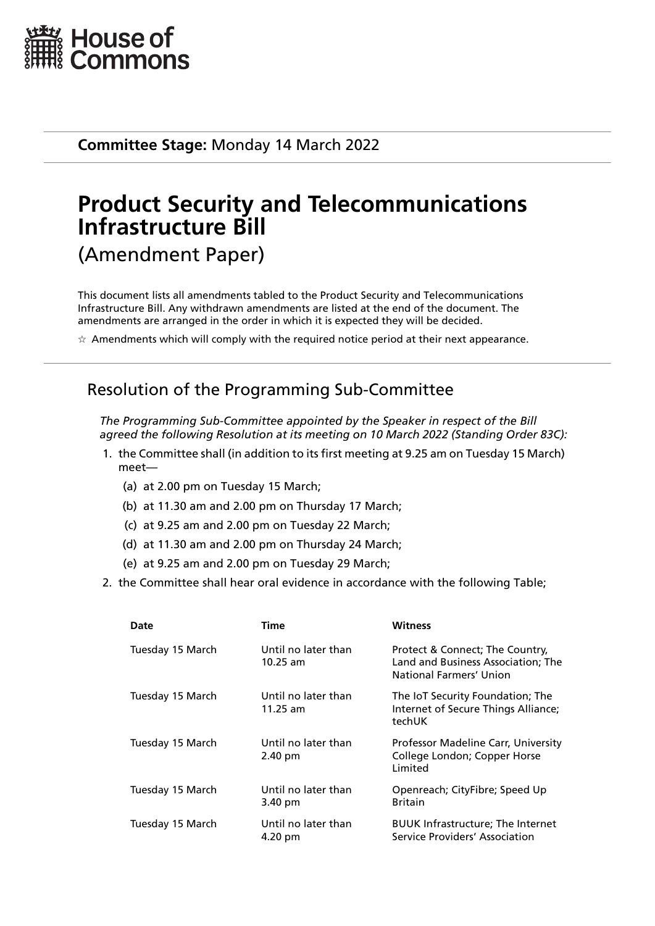

**Committee Stage:** Monday 14 March 2022

# **Product Security and Telecommunications Infrastructure Bill** (Amendment Paper)

This document lists all amendments tabled to the Product Security and Telecommunications Infrastructure Bill. Any withdrawn amendments are listed at the end of the document. The amendments are arranged in the order in which it is expected they will be decided.

 $\star$  Amendments which will comply with the required notice period at their next appearance.

## Resolution of the Programming Sub-Committee

*The Programming Sub-Committee appointed by the Speaker in respect of the Bill agreed the following Resolution at its meeting on 10 March 2022 (Standing Order 83C):*

- 1. the Committee shall (in addition to its first meeting at 9.25 am on Tuesday 15 March) meet—
	- (a) at 2.00 pm on Tuesday 15 March;
	- (b) at 11.30 am and 2.00 pm on Thursday 17 March;
	- (c) at 9.25 am and 2.00 pm on Tuesday 22 March;
	- (d) at 11.30 am and 2.00 pm on Thursday 24 March;
	- (e) at 9.25 am and 2.00 pm on Tuesday 29 March;
- 2. the Committee shall hear oral evidence in accordance with the following Table;

| Date             | Time                              | <b>Witness</b>                                                                                   |
|------------------|-----------------------------------|--------------------------------------------------------------------------------------------------|
| Tuesday 15 March | Until no later than<br>10.25 am   | Protect & Connect; The Country,<br>Land and Business Association; The<br>National Farmers' Union |
| Tuesday 15 March | Until no later than<br>$11.25$ am | The IoT Security Foundation; The<br>Internet of Secure Things Alliance;<br>techUK                |
| Tuesday 15 March | Until no later than<br>2.40 pm    | Professor Madeline Carr, University<br>College London; Copper Horse<br>Limited                   |
| Tuesday 15 March | Until no later than<br>3.40 pm    | Openreach; CityFibre; Speed Up<br><b>Britain</b>                                                 |
| Tuesday 15 March | Until no later than<br>4.20 pm    | <b>BUUK Infrastructure; The Internet</b><br>Service Providers' Association                       |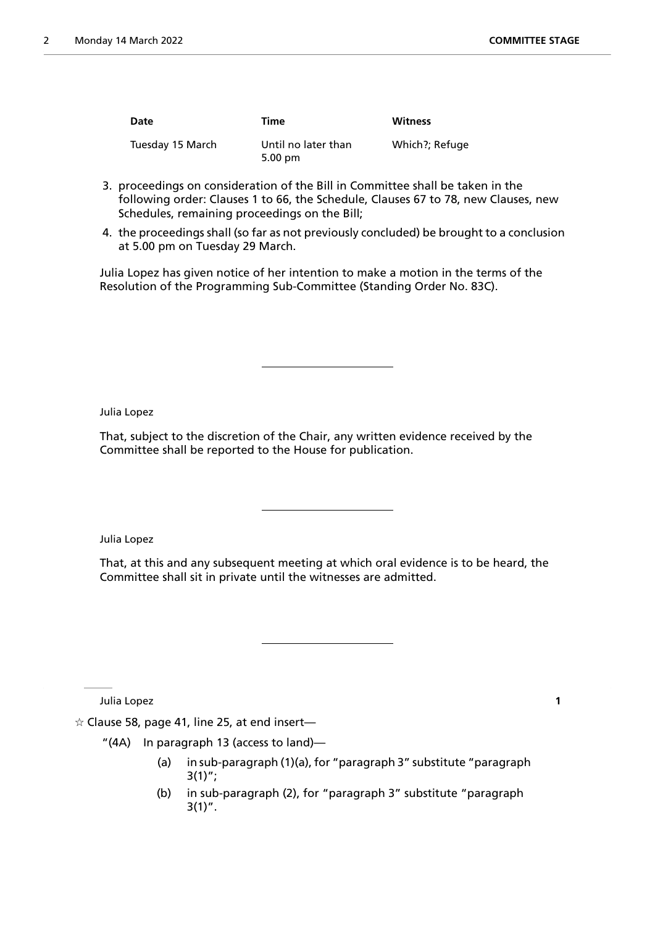| Date             | Time                                     | <b>Witness</b> |
|------------------|------------------------------------------|----------------|
| Tuesday 15 March | Until no later than<br>$5.00 \text{ pm}$ | Which?; Refuge |

- 3. proceedings on consideration of the Bill in Committee shall be taken in the following order: Clauses 1 to 66, the Schedule, Clauses 67 to 78, new Clauses, new Schedules, remaining proceedings on the Bill;
- 4. the proceedings shall (so far as not previously concluded) be brought to a conclusion at 5.00 pm on Tuesday 29 March.

Julia Lopez has given notice of her intention to make a motion in the terms of the Resolution of the Programming Sub-Committee (Standing Order No. 83C).

Julia Lopez

That, subject to the discretion of the Chair, any written evidence received by the Committee shall be reported to the House for publication.

Julia Lopez

That, at this and any subsequent meeting at which oral evidence is to be heard, the Committee shall sit in private until the witnesses are admitted.

Julia Lopez **1**

 $\alpha$  Clause 58, page 41, line 25, at end insert-

- "(4A) In paragraph 13 (access to land)—
	- (a) in sub-paragraph (1)(a), for "paragraph 3" substitute "paragraph  $3(1)$ ";
	- (b) in sub-paragraph (2), for "paragraph 3" substitute "paragraph  $3(1)''$ .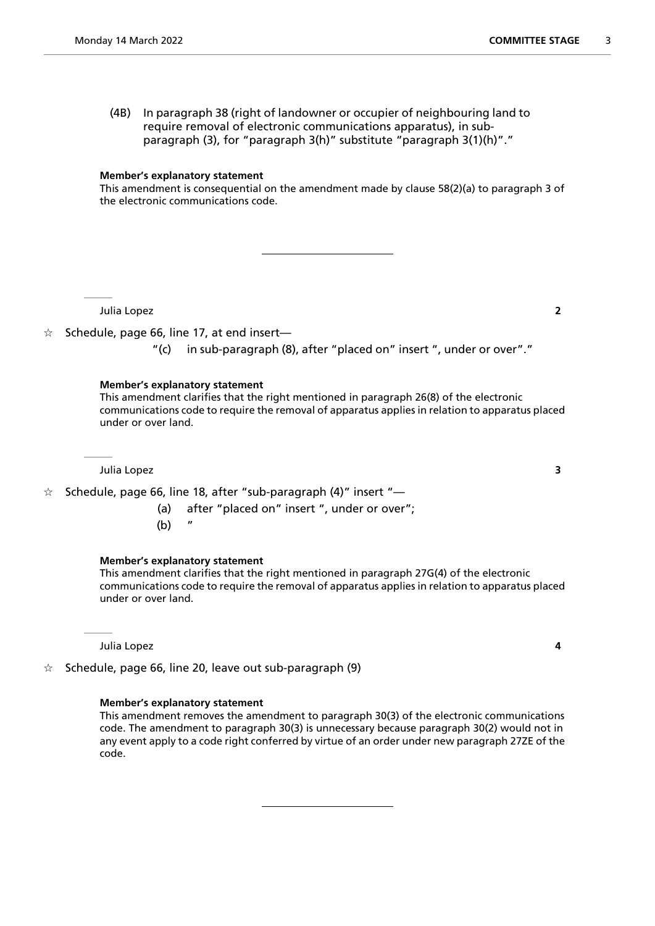(4B) In paragraph 38 (right of landowner or occupier of neighbouring land to require removal of electronic communications apparatus), in subparagraph (3), for "paragraph 3(h)" substitute "paragraph 3(1)(h)"."

#### **Member's explanatory statement**

This amendment is consequential on the amendment made by clause 58(2)(a) to paragraph 3 of the electronic communications code.

Julia Lopez **2**

- $\hat{\mathcal{R}}$  Schedule, page 66, line 17, at end insert—
	- "(c) in sub-paragraph (8), after "placed on" insert ", under or over"."

#### **Member's explanatory statement**

This amendment clarifies that the right mentioned in paragraph 26(8) of the electronic communications code to require the removal of apparatus applies in relation to apparatus placed under or over land.

Julia Lopez **3**

 $\frac{1}{x}$  Schedule, page 66, line 18, after "sub-paragraph (4)" insert "-

- (a) after "placed on" insert ", under or over";
- $(b)$

### **Member's explanatory statement**

This amendment clarifies that the right mentioned in paragraph 27G(4) of the electronic communications code to require the removal of apparatus applies in relation to apparatus placed under or over land.

Julia Lopez **4**

 $\dot{\mathbb{X}}$  Schedule, page 66, line 20, leave out sub-paragraph (9)

### **Member's explanatory statement**

This amendment removes the amendment to paragraph 30(3) of the electronic communications code. The amendment to paragraph 30(3) is unnecessary because paragraph 30(2) would not in any event apply to a code right conferred by virtue of an order under new paragraph 27ZE of the code.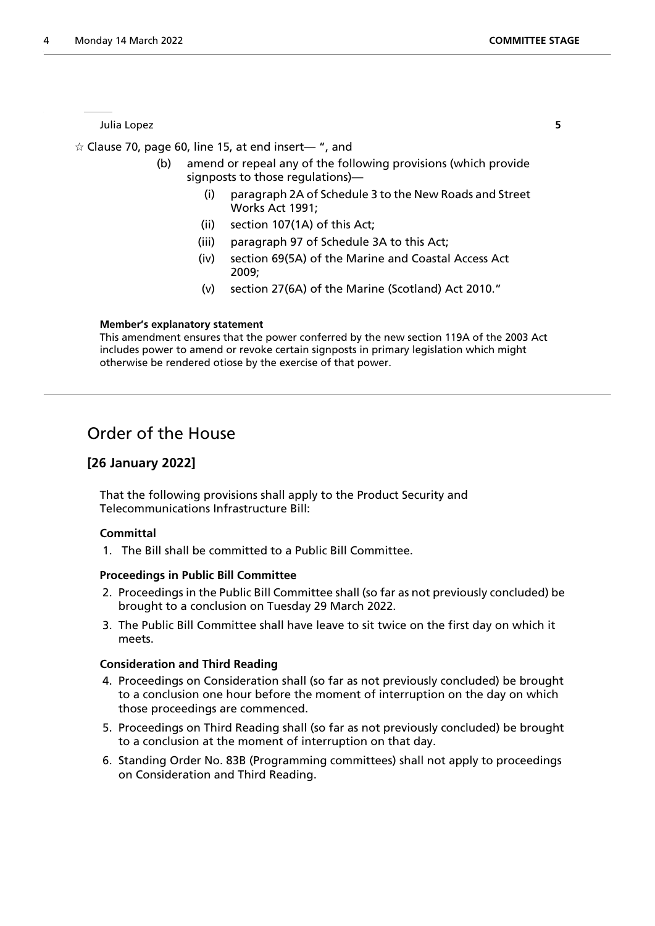Julia Lopez **5**

 $\hat{\varphi}$  Clause 70, page 60, line 15, at end insert— ", and

- (b) amend or repeal any of the following provisions (which provide signposts to those regulations)—
	- (i) paragraph 2A of Schedule 3 to the New Roads and Street Works Act 1991;
	- (ii) section 107(1A) of this Act;
	- (iii) paragraph 97 of Schedule 3A to this Act;
	- (iv) section 69(5A) of the Marine and Coastal Access Act 2009;
	- (v) section 27(6A) of the Marine (Scotland) Act 2010."

### **Member's explanatory statement**

This amendment ensures that the power conferred by the new section 119A of the 2003 Act includes power to amend or revoke certain signposts in primary legislation which might otherwise be rendered otiose by the exercise of that power.

### Order of the House

### **[26 January 2022]**

That the following provisions shall apply to the Product Security and Telecommunications Infrastructure Bill:

### **Committal**

1. The Bill shall be committed to a Public Bill Committee.

### **Proceedings in Public Bill Committee**

- 2. Proceedings in the Public Bill Committee shall (so far as not previously concluded) be brought to a conclusion on Tuesday 29 March 2022.
- 3. The Public Bill Committee shall have leave to sit twice on the first day on which it meets.

### **Consideration and Third Reading**

- 4. Proceedings on Consideration shall (so far as not previously concluded) be brought to a conclusion one hour before the moment of interruption on the day on which those proceedings are commenced.
- 5. Proceedings on Third Reading shall (so far as not previously concluded) be brought to a conclusion at the moment of interruption on that day.
- 6. Standing Order No. 83B (Programming committees) shall not apply to proceedings on Consideration and Third Reading.